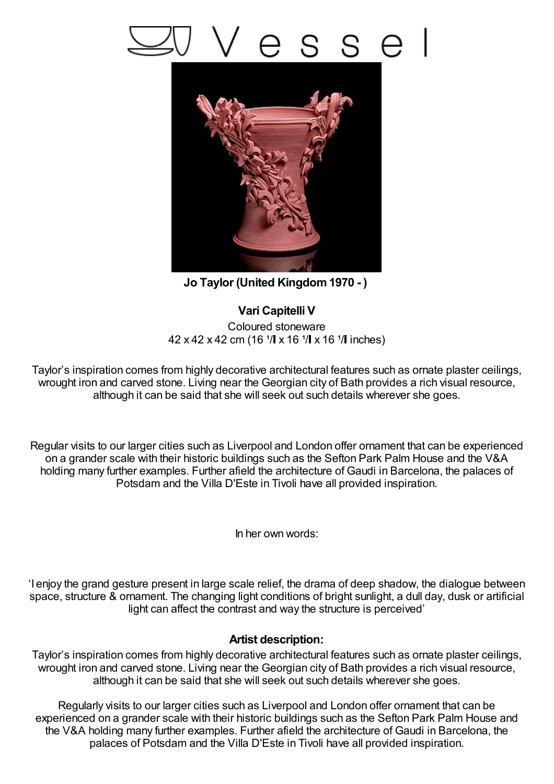## s e



**Jo Taylor (United Kingdom1970 - )**

## **Vari Capitelli V**

Coloured stoneware  $42 \times 42 \times 42$  cm (16  $\sqrt{1 \times 16} \sqrt{1 \times 16} \sqrt{1}$  inches)

Taylor's inspiration comes from highly decorative architectural features such as ornate plaster ceilings, wrought iron and carved stone. Living near the Georgian city of Bath provides a rich visual resource, although it can be said that she will seek out such details wherever she goes.

Regular visits to our larger cities such as Liverpool and London offer ornament that can be experienced on a grander scale with their historic buildings such as the Sefton Park Palm House and the V&A holding many further examples. Further afield the architecture of Gaudi in Barcelona, the palaces of Potsdam and the Villa D'Este in Tivoli have all provided inspiration.

In her own words:

'I enjoy the grand gesture present in large scale relief, the drama of deep shadow, the dialogue between space, structure & ornament. The changing light conditions of bright sunlight, a dull day, dusk or artificial light can affect the contrast and way the structure is perceived'

## **Artist description:**

Taylor's inspiration comes from highly decorative architectural features such as ornate plaster ceilings, wrought iron and carved stone. Living near the Georgian city of Bath provides a rich visual resource, although it can be said that she will seek out such details wherever she goes.

Regularly visits to our larger cities such as Liverpool and London offer ornament that can be experienced on a grander scale with their historic buildings such as the Sefton Park Palm House and the V&A holding many further examples. Further afield the architecture of Gaudi in Barcelona, the palaces of Potsdam and the Villa D'Este in Tivoli have all provided inspiration.